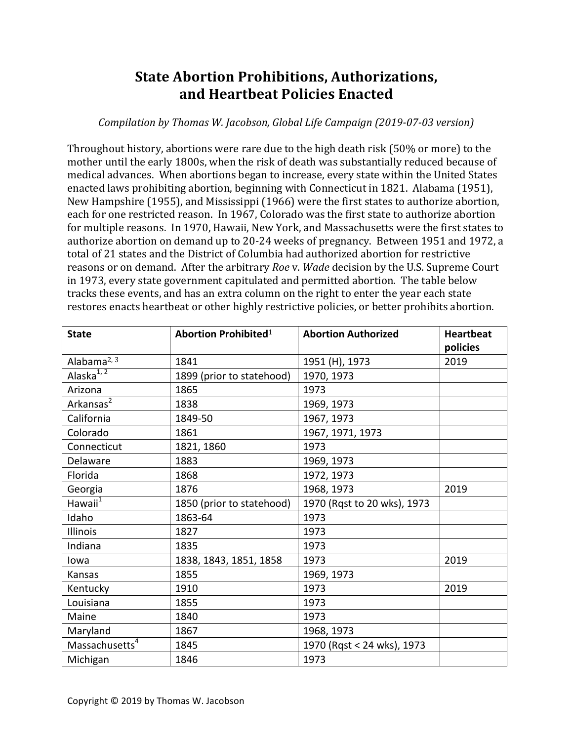## **State Abortion Prohibitions, Authorizations, and Heartbeat Policies Enacted**

## *Compilation by Thomas W. Jacobson, Global Life Campaign (2019-07-03 version)*

Throughout history, abortions were rare due to the high death risk (50% or more) to the mother until the early 1800s, when the risk of death was substantially reduced because of medical advances. When abortions began to increase, every state within the United States enacted laws prohibiting abortion, beginning with Connecticut in 1821. Alabama (1951), New Hampshire (1955), and Mississippi (1966) were the first states to authorize abortion, each for one restricted reason. In 1967, Colorado was the first state to authorize abortion for multiple reasons. In 1970, Hawaii, New York, and Massachusetts were the first states to authorize abortion on demand up to 20-24 weeks of pregnancy. Between 1951 and 1972, a total of 21 states and the District of Columbia had authorized abortion for restrictive reasons or on demand. After the arbitrary *Roe* v. *Wade* decision by the U.S. Supreme Court in 1973, every state government capitulated and permitted abortion. The table below tracks these events, and has an extra column on the right to enter the year each state restores enacts heartbeat or other highly restrictive policies, or better prohibits abortion.

| <b>State</b>               | <b>Abortion Prohibited1</b> | <b>Abortion Authorized</b>  | <b>Heartbeat</b> |
|----------------------------|-----------------------------|-----------------------------|------------------|
|                            |                             |                             | policies         |
| Alabama $^{2, 3}$          | 1841                        | 1951 (H), 1973              | 2019             |
| Alaska $^{1, 2}$           | 1899 (prior to statehood)   | 1970, 1973                  |                  |
| Arizona                    | 1865                        | 1973                        |                  |
| Arkansas <sup>2</sup>      | 1838                        | 1969, 1973                  |                  |
| California                 | 1849-50                     | 1967, 1973                  |                  |
| Colorado                   | 1861                        | 1967, 1971, 1973            |                  |
| Connecticut                | 1821, 1860                  | 1973                        |                  |
| Delaware                   | 1883                        | 1969, 1973                  |                  |
| Florida                    | 1868                        | 1972, 1973                  |                  |
| Georgia                    | 1876                        | 1968, 1973                  | 2019             |
| Hawaii $^1$                | 1850 (prior to statehood)   | 1970 (Rqst to 20 wks), 1973 |                  |
| Idaho                      | 1863-64                     | 1973                        |                  |
| Illinois                   | 1827                        | 1973                        |                  |
| Indiana                    | 1835                        | 1973                        |                  |
| lowa                       | 1838, 1843, 1851, 1858      | 1973                        | 2019             |
| Kansas                     | 1855                        | 1969, 1973                  |                  |
| Kentucky                   | 1910                        | 1973                        | 2019             |
| Louisiana                  | 1855                        | 1973                        |                  |
| Maine                      | 1840                        | 1973                        |                  |
| Maryland                   | 1867                        | 1968, 1973                  |                  |
| Massachusetts <sup>4</sup> | 1845                        | 1970 (Rqst < 24 wks), 1973  |                  |
| Michigan                   | 1846                        | 1973                        |                  |